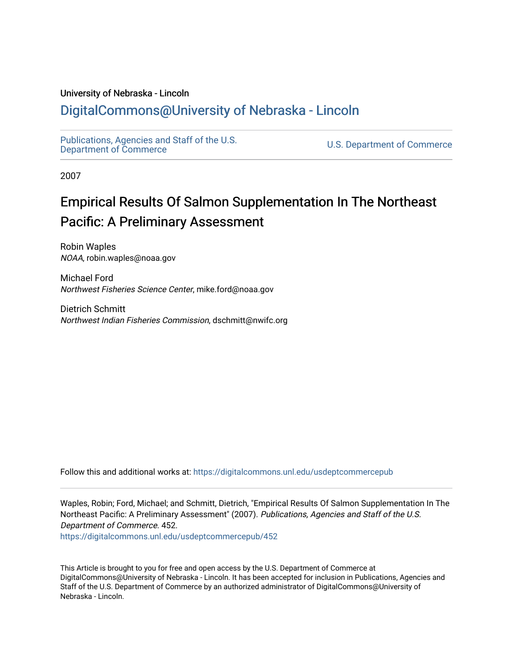# University of Nebraska - Lincoln

# [DigitalCommons@University of Nebraska - Lincoln](https://digitalcommons.unl.edu/)

[Publications, Agencies and Staff of the U.S.](https://digitalcommons.unl.edu/usdeptcommercepub)

U.S. [Department of Commerce](https://digitalcommons.unl.edu/usdeptcommercepub)

2007

# Empirical Results Of Salmon Supplementation In The Northeast Pacific: A Preliminary Assessment

Robin Waples NOAA, robin.waples@noaa.gov

Michael Ford Northwest Fisheries Science Center, mike.ford@noaa.gov

Dietrich Schmitt Northwest Indian Fisheries Commission, dschmitt@nwifc.org

Follow this and additional works at: [https://digitalcommons.unl.edu/usdeptcommercepub](https://digitalcommons.unl.edu/usdeptcommercepub?utm_source=digitalcommons.unl.edu%2Fusdeptcommercepub%2F452&utm_medium=PDF&utm_campaign=PDFCoverPages)

Waples, Robin; Ford, Michael; and Schmitt, Dietrich, "Empirical Results Of Salmon Supplementation In The Northeast Pacific: A Preliminary Assessment" (2007). Publications, Agencies and Staff of the U.S. Department of Commerce. 452.

[https://digitalcommons.unl.edu/usdeptcommercepub/452](https://digitalcommons.unl.edu/usdeptcommercepub/452?utm_source=digitalcommons.unl.edu%2Fusdeptcommercepub%2F452&utm_medium=PDF&utm_campaign=PDFCoverPages) 

This Article is brought to you for free and open access by the U.S. Department of Commerce at DigitalCommons@University of Nebraska - Lincoln. It has been accepted for inclusion in Publications, Agencies and Staff of the U.S. Department of Commerce by an authorized administrator of DigitalCommons@University of Nebraska - Lincoln.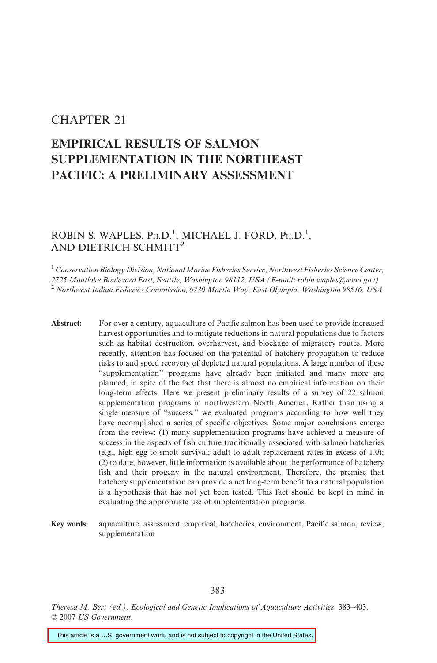# CHAPTER 21

# EMPIRICAL RESULTS OF SALMON SUPPLEMENTATION IN THE NORTHEAST PACIFIC: A PRELIMINARY ASSESSMENT

# ROBIN S. WAPLES,  $P_{\rm H.}$ D.<sup>1</sup>, MICHAEL J. FORD,  $P_{\rm H.}$ D.<sup>1</sup>, AND DIETRICH SCHMITT<sup>2</sup>

 $1$  Conservation Biology Division, National Marine Fisheries Service, Northwest Fisheries Science Center, 2725 Montlake Boulevard East, Seattle, Washington 98112, USA (E-mail: robin.waples@noaa.gov) <sup>2</sup> Northwest Indian Fisheries Commission, 6730 Martin Way, East Olympia, Washington 98516, USA

- Abstract: For over a century, aquaculture of Pacific salmon has been used to provide increased harvest opportunities and to mitigate reductions in natural populations due to factors such as habitat destruction, overharvest, and blockage of migratory routes. More recently, attention has focused on the potential of hatchery propagation to reduce risks to and speed recovery of depleted natural populations. A large number of these ''supplementation'' programs have already been initiated and many more are planned, in spite of the fact that there is almost no empirical information on their long-term effects. Here we present preliminary results of a survey of 22 salmon supplementation programs in northwestern North America. Rather than using a single measure of ''success,'' we evaluated programs according to how well they have accomplished a series of specific objectives. Some major conclusions emerge from the review: (1) many supplementation programs have achieved a measure of success in the aspects of fish culture traditionally associated with salmon hatcheries (e.g., high egg-to-smolt survival; adult-to-adult replacement rates in excess of 1.0); (2) to date, however, little information is available about the performance of hatchery fish and their progeny in the natural environment. Therefore, the premise that hatchery supplementation can provide a net long-term benefit to a natural population is a hypothesis that has not yet been tested. This fact should be kept in mind in evaluating the appropriate use of supplementation programs.
- Key words: aquaculture, assessment, empirical, hatcheries, environment, Pacific salmon, review, supplementation

383

Theresa M. Bert (ed.), Ecological and Genetic Implications of Aquaculture Activities, 383–403. 2007 US Government.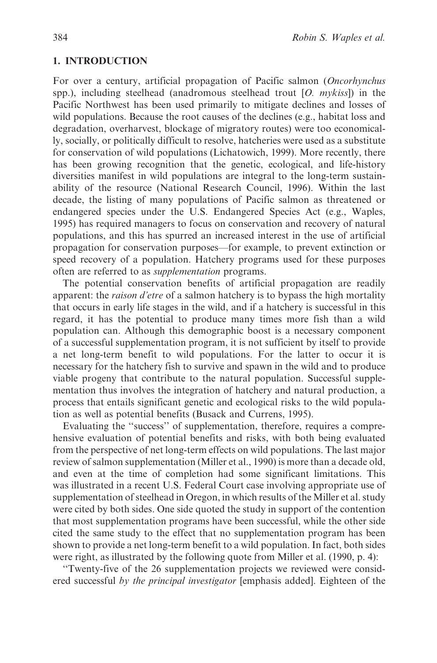## 1. INTRODUCTION

For over a century, artificial propagation of Pacific salmon (Oncorhynchus spp.), including steelhead (anadromous steelhead trout [O. mykiss]) in the Pacific Northwest has been used primarily to mitigate declines and losses of wild populations. Because the root causes of the declines (e.g., habitat loss and degradation, overharvest, blockage of migratory routes) were too economically, socially, or politically difficult to resolve, hatcheries were used as a substitute for conservation of wild populations (Lichatowich, 1999). More recently, there has been growing recognition that the genetic, ecological, and life-history diversities manifest in wild populations are integral to the long-term sustainability of the resource (National Research Council, 1996). Within the last decade, the listing of many populations of Pacific salmon as threatened or endangered species under the U.S. Endangered Species Act (e.g., Waples, 1995) has required managers to focus on conservation and recovery of natural populations, and this has spurred an increased interest in the use of artificial propagation for conservation purposes—for example, to prevent extinction or speed recovery of a population. Hatchery programs used for these purposes often are referred to as supplementation programs.

The potential conservation benefits of artificial propagation are readily apparent: the *raison d'etre* of a salmon hatchery is to bypass the high mortality that occurs in early life stages in the wild, and if a hatchery is successful in this regard, it has the potential to produce many times more fish than a wild population can. Although this demographic boost is a necessary component of a successful supplementation program, it is not sufficient by itself to provide a net long-term benefit to wild populations. For the latter to occur it is necessary for the hatchery fish to survive and spawn in the wild and to produce viable progeny that contribute to the natural population. Successful supplementation thus involves the integration of hatchery and natural production, a process that entails significant genetic and ecological risks to the wild population as well as potential benefits (Busack and Currens, 1995).

Evaluating the ''success'' of supplementation, therefore, requires a comprehensive evaluation of potential benefits and risks, with both being evaluated from the perspective of net long-term effects on wild populations. The last major review of salmon supplementation (Miller et al., 1990) is more than a decade old, and even at the time of completion had some significant limitations. This was illustrated in a recent U.S. Federal Court case involving appropriate use of supplementation of steelhead in Oregon, in which results of the Miller et al. study were cited by both sides. One side quoted the study in support of the contention that most supplementation programs have been successful, while the other side cited the same study to the effect that no supplementation program has been shown to provide a net long-term benefit to a wild population. In fact, both sides were right, as illustrated by the following quote from Miller et al. (1990, p. 4):

''Twenty-five of the 26 supplementation projects we reviewed were considered successful by the principal investigator [emphasis added]. Eighteen of the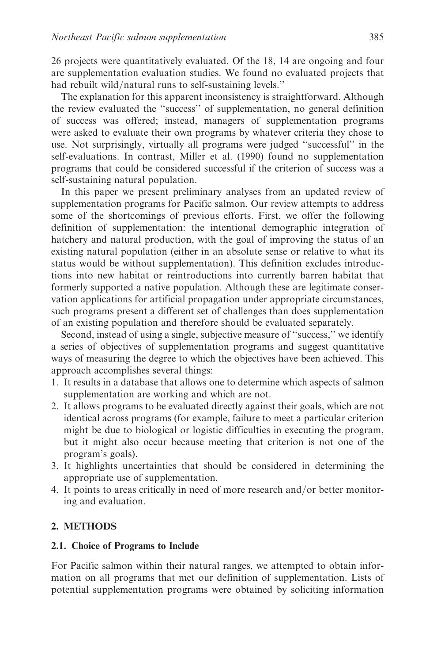26 projects were quantitatively evaluated. Of the 18, 14 are ongoing and four are supplementation evaluation studies. We found no evaluated projects that had rebuilt wild/natural runs to self-sustaining levels."

The explanation for this apparent inconsistency is straightforward. Although the review evaluated the ''success'' of supplementation, no general definition of success was offered; instead, managers of supplementation programs were asked to evaluate their own programs by whatever criteria they chose to use. Not surprisingly, virtually all programs were judged ''successful'' in the self-evaluations. In contrast, Miller et al. (1990) found no supplementation programs that could be considered successful if the criterion of success was a self-sustaining natural population.

In this paper we present preliminary analyses from an updated review of supplementation programs for Pacific salmon. Our review attempts to address some of the shortcomings of previous efforts. First, we offer the following definition of supplementation: the intentional demographic integration of hatchery and natural production, with the goal of improving the status of an existing natural population (either in an absolute sense or relative to what its status would be without supplementation). This definition excludes introductions into new habitat or reintroductions into currently barren habitat that formerly supported a native population. Although these are legitimate conservation applications for artificial propagation under appropriate circumstances, such programs present a different set of challenges than does supplementation of an existing population and therefore should be evaluated separately.

Second, instead of using a single, subjective measure of ''success,'' we identify a series of objectives of supplementation programs and suggest quantitative ways of measuring the degree to which the objectives have been achieved. This approach accomplishes several things:

- 1. It results in a database that allows one to determine which aspects of salmon supplementation are working and which are not.
- 2. It allows programs to be evaluated directly against their goals, which are not identical across programs (for example, failure to meet a particular criterion might be due to biological or logistic difficulties in executing the program, but it might also occur because meeting that criterion is not one of the program's goals).
- 3. It highlights uncertainties that should be considered in determining the appropriate use of supplementation.
- 4. It points to areas critically in need of more research and/or better monitoring and evaluation.

# 2. METHODS

#### 2.1. Choice of Programs to Include

For Pacific salmon within their natural ranges, we attempted to obtain information on all programs that met our definition of supplementation. Lists of potential supplementation programs were obtained by soliciting information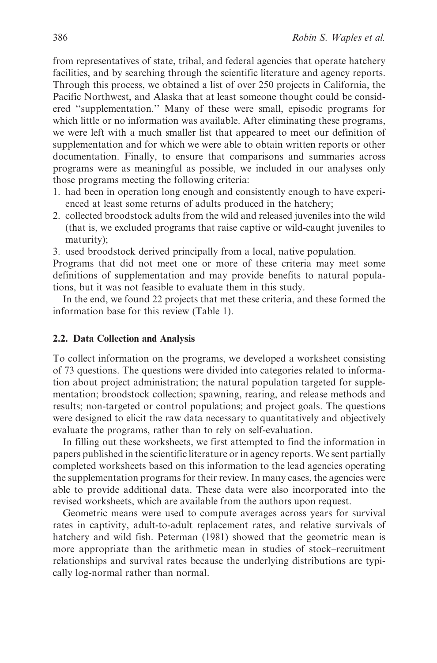from representatives of state, tribal, and federal agencies that operate hatchery facilities, and by searching through the scientific literature and agency reports. Through this process, we obtained a list of over 250 projects in California, the Pacific Northwest, and Alaska that at least someone thought could be considered ''supplementation.'' Many of these were small, episodic programs for which little or no information was available. After eliminating these programs, we were left with a much smaller list that appeared to meet our definition of supplementation and for which we were able to obtain written reports or other documentation. Finally, to ensure that comparisons and summaries across programs were as meaningful as possible, we included in our analyses only those programs meeting the following criteria:

- 1. had been in operation long enough and consistently enough to have experienced at least some returns of adults produced in the hatchery;
- 2. collected broodstock adults from the wild and released juveniles into the wild (that is, we excluded programs that raise captive or wild-caught juveniles to maturity);
- 3. used broodstock derived principally from a local, native population.

Programs that did not meet one or more of these criteria may meet some definitions of supplementation and may provide benefits to natural populations, but it was not feasible to evaluate them in this study.

In the end, we found 22 projects that met these criteria, and these formed the information base for this review (Table 1).

# 2.2. Data Collection and Analysis

To collect information on the programs, we developed a worksheet consisting of 73 questions. The questions were divided into categories related to information about project administration; the natural population targeted for supplementation; broodstock collection; spawning, rearing, and release methods and results; non-targeted or control populations; and project goals. The questions were designed to elicit the raw data necessary to quantitatively and objectively evaluate the programs, rather than to rely on self-evaluation.

In filling out these worksheets, we first attempted to find the information in papers published in the scientific literature or in agency reports. We sent partially completed worksheets based on this information to the lead agencies operating the supplementation programs for their review. In many cases, the agencies were able to provide additional data. These data were also incorporated into the revised worksheets, which are available from the authors upon request.

Geometric means were used to compute averages across years for survival rates in captivity, adult-to-adult replacement rates, and relative survivals of hatchery and wild fish. Peterman (1981) showed that the geometric mean is more appropriate than the arithmetic mean in studies of stock–recruitment relationships and survival rates because the underlying distributions are typically log-normal rather than normal.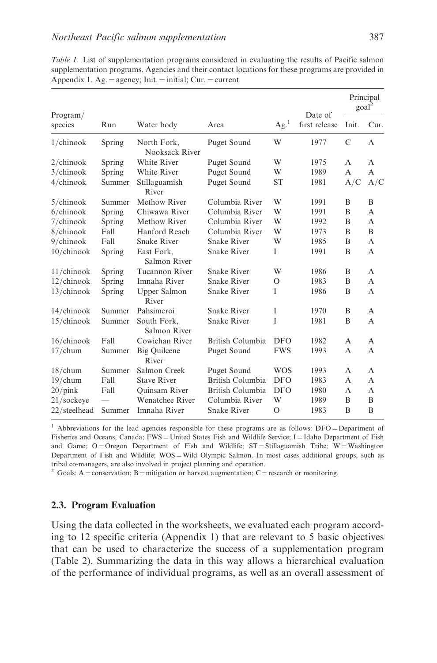| Program/      |        |                               |                    |                  | Date of       | Principal<br>goal <sup>2</sup> |                |
|---------------|--------|-------------------------------|--------------------|------------------|---------------|--------------------------------|----------------|
| species       | Run    | Water body                    | Area               | Ag. <sup>1</sup> | first release | Init.                          | Cur.           |
| $1/$ chinook  | Spring | North Fork,<br>Nooksack River | Puget Sound        | W                | 1977          | $\mathsf{C}$                   | A              |
| $2$ /chinook  | Spring | White River                   | Puget Sound        | W                | 1975          | A                              | $\overline{A}$ |
| 3/chinook     | Spring | White River                   | Puget Sound        | W                | 1989          | A                              | $\mathsf{A}$   |
| 4/chinook     | Summer | Stillaguamish<br>River        | Puget Sound        | <b>ST</b>        | 1981          | A/C                            | A/C            |
| 5/chinook     | Summer | Methow River                  | Columbia River     | W                | 1991          | B                              | B              |
| $6$ /chinook  | Spring | Chiwawa River                 | Columbia River     | W                | 1991          | B                              | A              |
| 7/chinook     | Spring | Methow River                  | Columbia River     | W                | 1992          | B                              | A              |
| 8/chinook     | Fall   | Hanford Reach                 | Columbia River     | W                | 1973          | B                              | B              |
| 9/chinook     | Fall   | <b>Snake River</b>            | <b>Snake River</b> | W                | 1985          | B                              | A              |
| 10/chinook    | Spring | East Fork,<br>Salmon River    | <b>Snake River</b> | I                | 1991          | B                              | $\overline{A}$ |
| $11/$ chinook | Spring | <b>Tucannon River</b>         | Snake River        | W                | 1986          | B                              | A              |
| 12/chinook    | Spring | Imnaha River                  | <b>Snake River</b> | $\mathcal{O}$    | 1983          | B                              | A              |
| 13/chinook    | Spring | Upper Salmon<br>River         | <b>Snake River</b> | I                | 1986          | B                              | A              |
| 14/chinook    | Summer | Pahsimeroi                    | <b>Snake River</b> | I                | 1970          | B                              | $\overline{A}$ |
| 15/chinook    | Summer | South Fork,<br>Salmon River   | <b>Snake River</b> | T                | 1981          | B                              | $\overline{A}$ |
| $16$ /chinook | Fall   | Cowichan River                | British Columbia   | <b>DFO</b>       | 1982          | A                              | A              |
| $17$ /chum    | Summer | Big Quilcene<br>River         | Puget Sound        | <b>FWS</b>       | 1993          | A                              | $\overline{A}$ |
| $18$ /chum    | Summer | Salmon Creek                  | Puget Sound        | <b>WOS</b>       | 1993          | A                              | $\mathsf{A}$   |
| $19$ /chum    | Fall   | <b>Stave River</b>            | British Columbia   | <b>DFO</b>       | 1983          | A                              | A              |
| $20$ /pink    | Fall   | Quinsam River                 | British Columbia   | <b>DFO</b>       | 1980          | A                              | A              |
| $21$ /sockeye |        | Wenatchee River               | Columbia River     | W                | 1989          | B                              | B              |
| 22/steelhead  | Summer | Imnaha River                  | Snake River        | $\Omega$         | 1983          | B                              | $\bf{B}$       |

Table 1. List of supplementation programs considered in evaluating the results of Pacific salmon supplementation programs. Agencies and their contact locations for these programs are provided in Appendix 1. Ag.  $=$  agency; Init.  $=$  initial; Cur.  $=$  current

<sup>1</sup> Abbreviations for the lead agencies responsible for these programs are as follows:  $DFO = Department of$ Fisheries and Oceans, Canada;  $FWS = United States$  Fish and Wildlife Service; I = Idaho Department of Fish and Game; O = Oregon Department of Fish and Wildlife;  $ST = Stillaguamish$  Tribe; W = Washington Department of Fish and Wildlife; WOS = Wild Olympic Salmon. In most cases additional groups, such as tribal co-managers, are also involved in project planning and operation.

<sup>2</sup> Goals: A = conservation; B = mitigation or harvest augmentation; C = research or monitoring.

## 2.3. Program Evaluation

Using the data collected in the worksheets, we evaluated each program according to 12 specific criteria (Appendix 1) that are relevant to 5 basic objectives that can be used to characterize the success of a supplementation program (Table 2). Summarizing the data in this way allows a hierarchical evaluation of the performance of individual programs, as well as an overall assessment of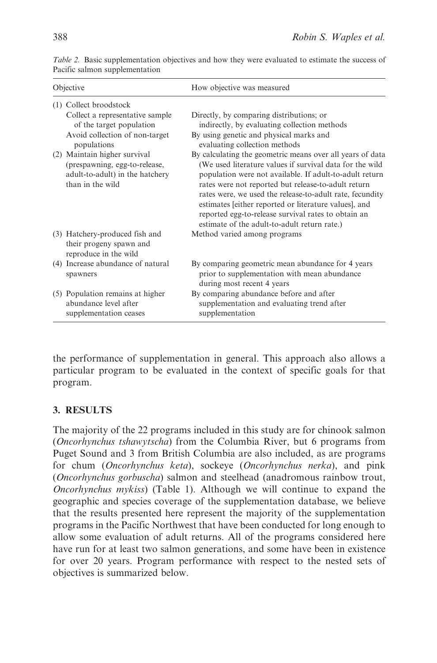| Objective                                                                                                            | How objective was measured                                                                                                                                                                                                                                                                                                                                                                                                                                          |
|----------------------------------------------------------------------------------------------------------------------|---------------------------------------------------------------------------------------------------------------------------------------------------------------------------------------------------------------------------------------------------------------------------------------------------------------------------------------------------------------------------------------------------------------------------------------------------------------------|
| (1) Collect broodstock                                                                                               |                                                                                                                                                                                                                                                                                                                                                                                                                                                                     |
| Collect a representative sample<br>of the target population                                                          | Directly, by comparing distributions; or<br>indirectly, by evaluating collection methods                                                                                                                                                                                                                                                                                                                                                                            |
| Avoid collection of non-target<br>populations                                                                        | By using genetic and physical marks and<br>evaluating collection methods                                                                                                                                                                                                                                                                                                                                                                                            |
| (2) Maintain higher survival<br>(prespawning, egg-to-release,<br>adult-to-adult) in the hatchery<br>than in the wild | By calculating the geometric means over all years of data<br>(We used literature values if survival data for the wild<br>population were not available. If adult-to-adult return<br>rates were not reported but release-to-adult return<br>rates were, we used the release-to-adult rate, fecundity<br>estimates [either reported or literature values], and<br>reported egg-to-release survival rates to obtain an<br>estimate of the adult-to-adult return rate.) |
| (3) Hatchery-produced fish and<br>their progeny spawn and<br>reproduce in the wild                                   | Method varied among programs                                                                                                                                                                                                                                                                                                                                                                                                                                        |
| (4) Increase abundance of natural<br>spawners                                                                        | By comparing geometric mean abundance for 4 years<br>prior to supplementation with mean abundance<br>during most recent 4 years                                                                                                                                                                                                                                                                                                                                     |
| (5) Population remains at higher<br>abundance level after<br>supplementation ceases                                  | By comparing abundance before and after<br>supplementation and evaluating trend after<br>supplementation                                                                                                                                                                                                                                                                                                                                                            |

Table 2. Basic supplementation objectives and how they were evaluated to estimate the success of Pacific salmon supplementation

the performance of supplementation in general. This approach also allows a particular program to be evaluated in the context of specific goals for that program.

# 3. RESULTS

The majority of the 22 programs included in this study are for chinook salmon (Oncorhynchus tshawytscha) from the Columbia River, but 6 programs from Puget Sound and 3 from British Columbia are also included, as are programs for chum (Oncorhynchus keta), sockeye (Oncorhynchus nerka), and pink (Oncorhynchus gorbuscha) salmon and steelhead (anadromous rainbow trout, Oncorhynchus mykiss) (Table 1). Although we will continue to expand the geographic and species coverage of the supplementation database, we believe that the results presented here represent the majority of the supplementation programs in the Pacific Northwest that have been conducted for long enough to allow some evaluation of adult returns. All of the programs considered here have run for at least two salmon generations, and some have been in existence for over 20 years. Program performance with respect to the nested sets of objectives is summarized below.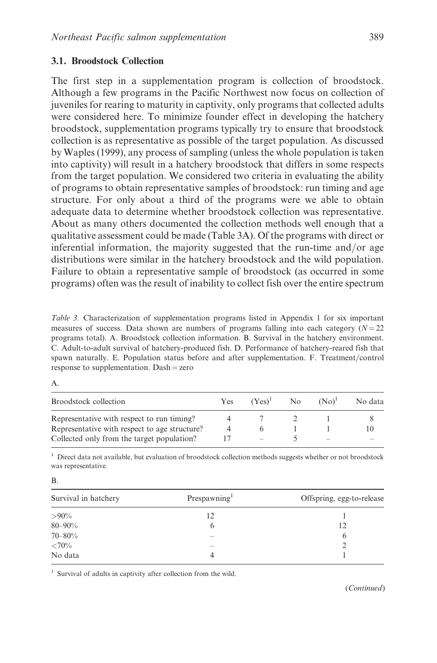# 3.1. Broodstock Collection

The first step in a supplementation program is collection of broodstock. Although a few programs in the Pacific Northwest now focus on collection of juveniles for rearing to maturity in captivity, only programs that collected adults were considered here. To minimize founder effect in developing the hatchery broodstock, supplementation programs typically try to ensure that broodstock collection is as representative as possible of the target population. As discussed by Waples (1999), any process of sampling (unless the whole population is taken into captivity) will result in a hatchery broodstock that differs in some respects from the target population. We considered two criteria in evaluating the ability of programs to obtain representative samples of broodstock: run timing and age structure. For only about a third of the programs were we able to obtain adequate data to determine whether broodstock collection was representative. About as many others documented the collection methods well enough that a qualitative assessment could be made (Table 3A). Of the programs with direct or inferential information, the majority suggested that the run-time and/or age distributions were similar in the hatchery broodstock and the wild population. Failure to obtain a representative sample of broodstock (as occurred in some programs) often was the result of inability to collect fish over the entire spectrum

Table 3. Characterization of supplementation programs listed in Appendix 1 for six important measures of success. Data shown are numbers of programs falling into each category  $(N=22)$ programs total). A. Broodstock collection information. B. Survival in the hatchery environment. C. Adult-to-adult survival of hatchery-produced fish. D. Performance of hatchery-reared fish that spawn naturally. E. Population status before and after supplementation. F. Treatment/control response to supplementation.  $Dash = zero$ 

| Broodstock collection                         | Yes | $(Yes)^{1}$ | No. | $(No)^1$ | No data |
|-----------------------------------------------|-----|-------------|-----|----------|---------|
| Representative with respect to run timing?    |     |             |     |          |         |
| Representative with respect to age structure? |     |             |     |          |         |
| Collected only from the target population?    |     |             |     | $\sim$   |         |

<sup>1</sup> Direct data not available, but evaluation of broodstock collection methods suggests whether or not broodstock was representative.

| u |  |  |
|---|--|--|
|   |  |  |

A.

| Survival in hatchery | Prespawning <sup>1</sup> | Offspring, egg-to-release |
|----------------------|--------------------------|---------------------------|
| $>90\%$              | 12                       |                           |
| $80 - 90\%$          | <sub>(</sub>             | 12                        |
| 70–80%               |                          | $\sigma$                  |
| ${<}70%$             |                          |                           |
| No data              | 4                        |                           |

<sup>1</sup> Survival of adults in captivity after collection from the wild.

*(*Continued)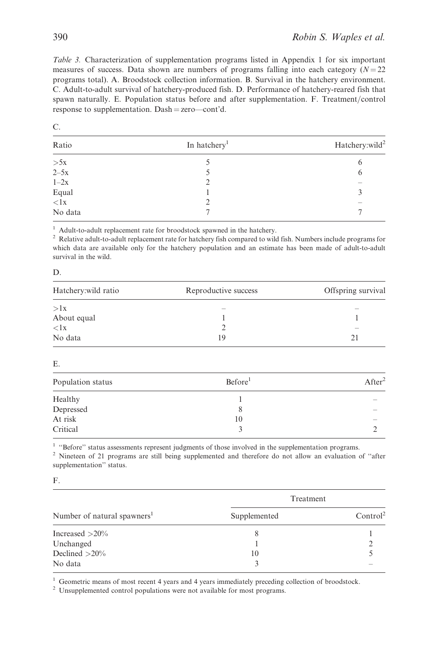Table 3. Characterization of supplementation programs listed in Appendix 1 for six important measures of success. Data shown are numbers of programs falling into each category  $(N = 22)$ programs total). A. Broodstock collection information. B. Survival in the hatchery environment. C. Adult-to-adult survival of hatchery-produced fish. D. Performance of hatchery-reared fish that spawn naturally. E. Population status before and after supplementation. F. Treatment/control response to supplementation.  $Dash = zero \text{---} cont'd$ .

| v<br>۰,        | ×                 |  |
|----------------|-------------------|--|
| ć,<br>×<br>. . | ٦<br>٠<br>۰.<br>× |  |

| Ratio              | In hatchery <sup>1</sup> | Hatchery:wild <sup>2</sup> |
|--------------------|--------------------------|----------------------------|
|                    |                          | O                          |
| $>5x$<br>2-5x      |                          | 6                          |
| $1-2x$             |                          | $\sim$                     |
|                    |                          |                            |
| Equal $\langle 1x$ | ∍                        | $\sim$                     |
| No data            |                          |                            |

<sup>1</sup> Adult-to-adult replacement rate for broodstock spawned in the hatchery.

<sup>2</sup> Relative adult-to-adult replacement rate for hatchery fish compared to wild fish. Numbers include programs for which data are available only for the hatchery population and an estimate has been made of adult-to-adult survival in the wild.

| Hatchery: wild ratio | Reproductive success | Offspring survival |
|----------------------|----------------------|--------------------|
| >1x                  | $\sim$               |                    |
| About equal          |                      |                    |
| $\langle 1x$         |                      | -                  |
| No data              | 19                   |                    |

#### E.

D.

| Population status | Before <sup>1</sup> | After $2$ |
|-------------------|---------------------|-----------|
| Healthy           |                     |           |
| Depressed         | 8                   |           |
| At risk           | 10                  | -         |
| Critical          |                     |           |

<sup>1</sup> "Before" status assessments represent judgments of those involved in the supplementation programs.

<sup>2</sup> Nineteen of 21 programs are still being supplemented and therefore do not allow an evaluation of "after supplementation'' status.

F.

|                                         | Treatment    |                      |
|-----------------------------------------|--------------|----------------------|
| Number of natural spawners <sup>1</sup> | Supplemented | Control <sup>2</sup> |
| Increased $>20\%$                       | x            |                      |
| Unchanged                               |              |                      |
| Declined $>20\%$                        | 10           |                      |
| No data                                 |              |                      |

<sup>1</sup> Geometric means of most recent 4 years and 4 years immediately preceding collection of broodstock.

<sup>2</sup> Unsupplemented control populations were not available for most programs.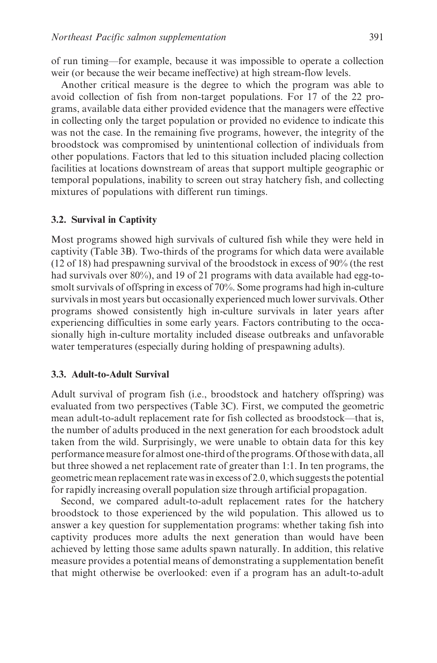of run timing—for example, because it was impossible to operate a collection weir (or because the weir became ineffective) at high stream-flow levels.

Another critical measure is the degree to which the program was able to avoid collection of fish from non-target populations. For 17 of the 22 programs, available data either provided evidence that the managers were effective in collecting only the target population or provided no evidence to indicate this was not the case. In the remaining five programs, however, the integrity of the broodstock was compromised by unintentional collection of individuals from other populations. Factors that led to this situation included placing collection facilities at locations downstream of areas that support multiple geographic or temporal populations, inability to screen out stray hatchery fish, and collecting mixtures of populations with different run timings.

## 3.2. Survival in Captivity

Most programs showed high survivals of cultured fish while they were held in captivity (Table 3B). Two-thirds of the programs for which data were available (12 of 18) had prespawning survival of the broodstock in excess of 90% (the rest had survivals over 80%), and 19 of 21 programs with data available had egg-tosmolt survivals of offspring in excess of 70%. Some programs had high in-culture survivals in most years but occasionally experienced much lower survivals. Other programs showed consistently high in-culture survivals in later years after experiencing difficulties in some early years. Factors contributing to the occasionally high in-culture mortality included disease outbreaks and unfavorable water temperatures (especially during holding of prespawning adults).

#### 3.3. Adult-to-Adult Survival

Adult survival of program fish (i.e., broodstock and hatchery offspring) was evaluated from two perspectives (Table 3C). First, we computed the geometric mean adult-to-adult replacement rate for fish collected as broodstock—that is, the number of adults produced in the next generation for each broodstock adult taken from the wild. Surprisingly, we were unable to obtain data for this key performance measure for almost one-third of the programs. Of those with data, all but three showed a net replacement rate of greater than 1:1. In ten programs, the geometric mean replacement rate was in excess of 2.0, which suggests the potential for rapidly increasing overall population size through artificial propagation.

Second, we compared adult-to-adult replacement rates for the hatchery broodstock to those experienced by the wild population. This allowed us to answer a key question for supplementation programs: whether taking fish into captivity produces more adults the next generation than would have been achieved by letting those same adults spawn naturally. In addition, this relative measure provides a potential means of demonstrating a supplementation benefit that might otherwise be overlooked: even if a program has an adult-to-adult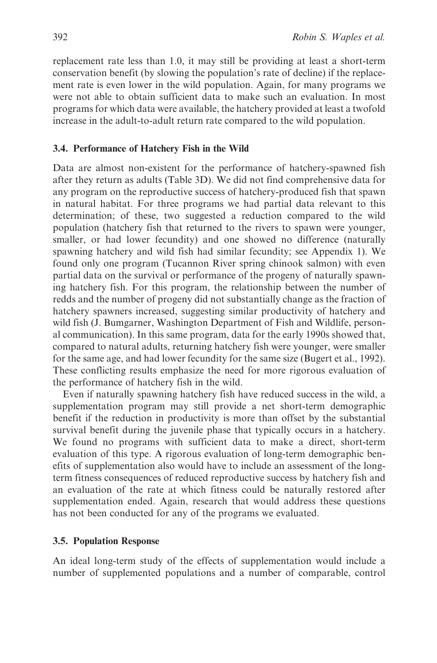replacement rate less than 1.0, it may still be providing at least a short-term conservation benefit (by slowing the population's rate of decline) if the replacement rate is even lower in the wild population. Again, for many programs we were not able to obtain sufficient data to make such an evaluation. In most programs for which data were available, the hatchery provided at least a twofold increase in the adult-to-adult return rate compared to the wild population.

#### 3.4. Performance of Hatchery Fish in the Wild

Data are almost non-existent for the performance of hatchery-spawned fish after they return as adults (Table 3D). We did not find comprehensive data for any program on the reproductive success of hatchery-produced fish that spawn in natural habitat. For three programs we had partial data relevant to this determination; of these, two suggested a reduction compared to the wild population (hatchery fish that returned to the rivers to spawn were younger, smaller, or had lower fecundity) and one showed no difference (naturally spawning hatchery and wild fish had similar fecundity; see Appendix 1). We found only one program (Tucannon River spring chinook salmon) with even partial data on the survival or performance of the progeny of naturally spawning hatchery fish. For this program, the relationship between the number of redds and the number of progeny did not substantially change as the fraction of hatchery spawners increased, suggesting similar productivity of hatchery and wild fish (J. Bumgarner, Washington Department of Fish and Wildlife, personal communication). In this same program, data for the early 1990s showed that, compared to natural adults, returning hatchery fish were younger, were smaller for the same age, and had lower fecundity for the same size (Bugert et al., 1992). These conflicting results emphasize the need for more rigorous evaluation of the performance of hatchery fish in the wild.

Even if naturally spawning hatchery fish have reduced success in the wild, a supplementation program may still provide a net short-term demographic benefit if the reduction in productivity is more than offset by the substantial survival benefit during the juvenile phase that typically occurs in a hatchery. We found no programs with sufficient data to make a direct, short-term evaluation of this type. A rigorous evaluation of long-term demographic benefits of supplementation also would have to include an assessment of the longterm fitness consequences of reduced reproductive success by hatchery fish and an evaluation of the rate at which fitness could be naturally restored after supplementation ended. Again, research that would address these questions has not been conducted for any of the programs we evaluated.

#### 3.5. Population Response

An ideal long-term study of the effects of supplementation would include a number of supplemented populations and a number of comparable, control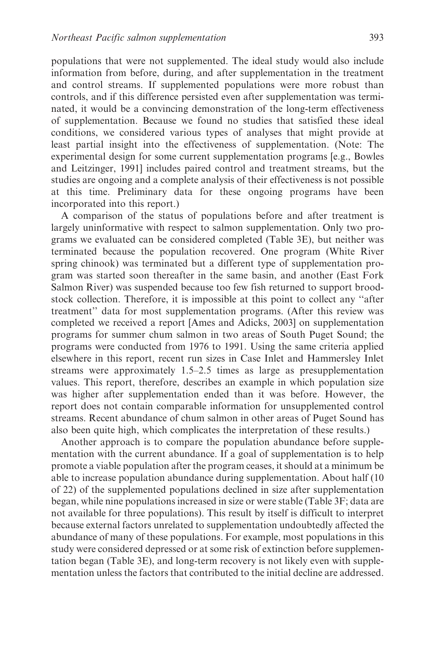populations that were not supplemented. The ideal study would also include information from before, during, and after supplementation in the treatment and control streams. If supplemented populations were more robust than controls, and if this difference persisted even after supplementation was terminated, it would be a convincing demonstration of the long-term effectiveness of supplementation. Because we found no studies that satisfied these ideal conditions, we considered various types of analyses that might provide at least partial insight into the effectiveness of supplementation. (Note: The experimental design for some current supplementation programs [e.g., Bowles and Leitzinger, 1991] includes paired control and treatment streams, but the studies are ongoing and a complete analysis of their effectiveness is not possible at this time. Preliminary data for these ongoing programs have been incorporated into this report.)

A comparison of the status of populations before and after treatment is largely uninformative with respect to salmon supplementation. Only two programs we evaluated can be considered completed (Table 3E), but neither was terminated because the population recovered. One program (White River spring chinook) was terminated but a different type of supplementation program was started soon thereafter in the same basin, and another (East Fork Salmon River) was suspended because too few fish returned to support broodstock collection. Therefore, it is impossible at this point to collect any ''after treatment'' data for most supplementation programs. (After this review was completed we received a report [Ames and Adicks, 2003] on supplementation programs for summer chum salmon in two areas of South Puget Sound; the programs were conducted from 1976 to 1991. Using the same criteria applied elsewhere in this report, recent run sizes in Case Inlet and Hammersley Inlet streams were approximately 1.5–2.5 times as large as presupplementation values. This report, therefore, describes an example in which population size was higher after supplementation ended than it was before. However, the report does not contain comparable information for unsupplemented control streams. Recent abundance of chum salmon in other areas of Puget Sound has also been quite high, which complicates the interpretation of these results.)

Another approach is to compare the population abundance before supplementation with the current abundance. If a goal of supplementation is to help promote a viable population after the program ceases, it should at a minimum be able to increase population abundance during supplementation. About half (10 of 22) of the supplemented populations declined in size after supplementation began, while nine populations increased in size or were stable (Table 3F; data are not available for three populations). This result by itself is difficult to interpret because external factors unrelated to supplementation undoubtedly affected the abundance of many of these populations. For example, most populations in this study were considered depressed or at some risk of extinction before supplementation began (Table 3E), and long-term recovery is not likely even with supplementation unless the factors that contributed to the initial decline are addressed.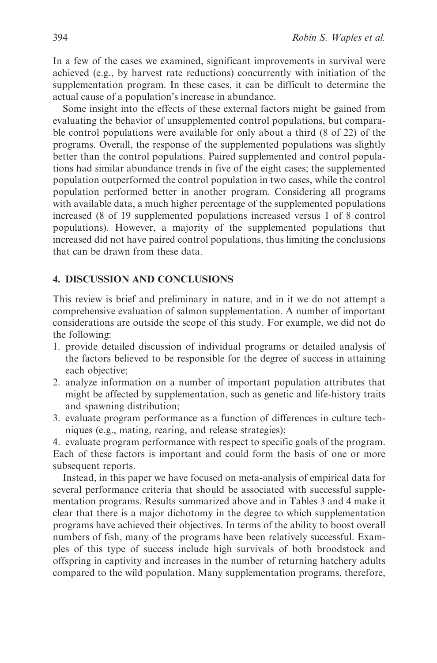In a few of the cases we examined, significant improvements in survival were achieved (e.g., by harvest rate reductions) concurrently with initiation of the supplementation program. In these cases, it can be difficult to determine the actual cause of a population's increase in abundance.

Some insight into the effects of these external factors might be gained from evaluating the behavior of unsupplemented control populations, but comparable control populations were available for only about a third (8 of 22) of the programs. Overall, the response of the supplemented populations was slightly better than the control populations. Paired supplemented and control populations had similar abundance trends in five of the eight cases; the supplemented population outperformed the control population in two cases, while the control population performed better in another program. Considering all programs with available data, a much higher percentage of the supplemented populations increased (8 of 19 supplemented populations increased versus 1 of 8 control populations). However, a majority of the supplemented populations that increased did not have paired control populations, thus limiting the conclusions that can be drawn from these data.

# 4. DISCUSSION AND CONCLUSIONS

This review is brief and preliminary in nature, and in it we do not attempt a comprehensive evaluation of salmon supplementation. A number of important considerations are outside the scope of this study. For example, we did not do the following:

- 1. provide detailed discussion of individual programs or detailed analysis of the factors believed to be responsible for the degree of success in attaining each objective;
- 2. analyze information on a number of important population attributes that might be affected by supplementation, such as genetic and life-history traits and spawning distribution;
- 3. evaluate program performance as a function of differences in culture techniques (e.g., mating, rearing, and release strategies);

4. evaluate program performance with respect to specific goals of the program. Each of these factors is important and could form the basis of one or more subsequent reports.

Instead, in this paper we have focused on meta-analysis of empirical data for several performance criteria that should be associated with successful supplementation programs. Results summarized above and in Tables 3 and 4 make it clear that there is a major dichotomy in the degree to which supplementation programs have achieved their objectives. In terms of the ability to boost overall numbers of fish, many of the programs have been relatively successful. Examples of this type of success include high survivals of both broodstock and offspring in captivity and increases in the number of returning hatchery adults compared to the wild population. Many supplementation programs, therefore,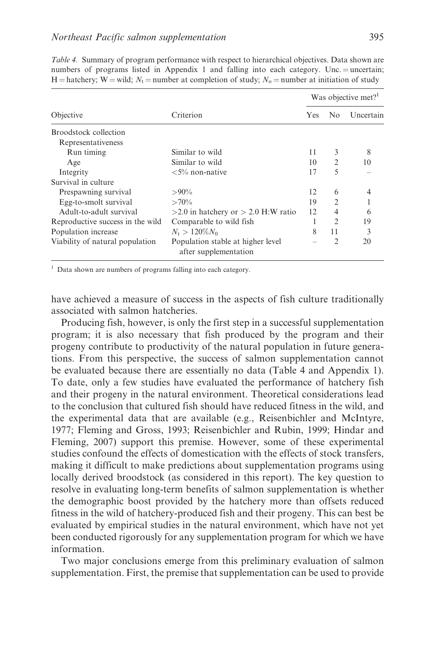|                                  |                                                            |            |                | Was objective met? <sup>1</sup> |
|----------------------------------|------------------------------------------------------------|------------|----------------|---------------------------------|
| Objective                        | Criterion                                                  | <b>Yes</b> | No.            | Uncertain                       |
| Broodstock collection            |                                                            |            |                |                                 |
| Representativeness               |                                                            |            |                |                                 |
| Run timing                       | Similar to wild                                            | 11         | 3              | 8                               |
| Age                              | Similar to wild                                            | 10         | 2              | 10                              |
| Integrity                        | $\langle 5\%$ non-native                                   | 17         | 5              |                                 |
| Survival in culture              |                                                            |            |                |                                 |
| Prespawning survival             | $>90\%$                                                    | 12         | 6              | 4                               |
| Egg-to-smolt survival            | $>70\%$                                                    | 19         | $\mathfrak{D}$ |                                 |
| Adult-to-adult survival          | $>2.0$ in hatchery or $> 2.0$ H:W ratio                    | 12         | 4              | 6                               |
| Reproductive success in the wild | Comparable to wild fish                                    |            | $\overline{2}$ | 19                              |
| Population increase              | $N_t > 120\%N_0$                                           | 8          | 11             | 3                               |
| Viability of natural population  | Population stable at higher level<br>after supplementation |            | $\mathfrak{D}$ | 20                              |

Table 4. Summary of program performance with respect to hierarchical objectives. Data shown are numbers of programs listed in Appendix 1 and falling into each category. Unc.  $=$  uncertain; H = hatchery; W = wild;  $N_t$  = number at completion of study;  $N_0$  = number at initiation of study

<sup>1</sup> Data shown are numbers of programs falling into each category.

have achieved a measure of success in the aspects of fish culture traditionally associated with salmon hatcheries.

Producing fish, however, is only the first step in a successful supplementation program; it is also necessary that fish produced by the program and their progeny contribute to productivity of the natural population in future generations. From this perspective, the success of salmon supplementation cannot be evaluated because there are essentially no data (Table 4 and Appendix 1). To date, only a few studies have evaluated the performance of hatchery fish and their progeny in the natural environment. Theoretical considerations lead to the conclusion that cultured fish should have reduced fitness in the wild, and the experimental data that are available (e.g., Reisenbichler and McIntyre, 1977; Fleming and Gross, 1993; Reisenbichler and Rubin, 1999; Hindar and Fleming, 2007) support this premise. However, some of these experimental studies confound the effects of domestication with the effects of stock transfers, making it difficult to make predictions about supplementation programs using locally derived broodstock (as considered in this report). The key question to resolve in evaluating long-term benefits of salmon supplementation is whether the demographic boost provided by the hatchery more than offsets reduced fitness in the wild of hatchery-produced fish and their progeny. This can best be evaluated by empirical studies in the natural environment, which have not yet been conducted rigorously for any supplementation program for which we have information.

Two major conclusions emerge from this preliminary evaluation of salmon supplementation. First, the premise that supplementation can be used to provide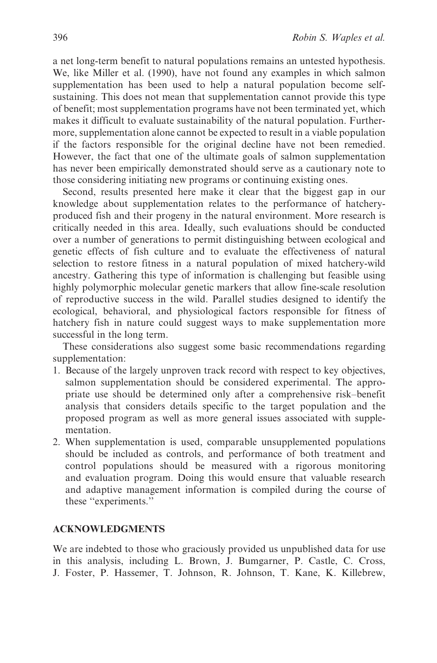a net long-term benefit to natural populations remains an untested hypothesis. We, like Miller et al. (1990), have not found any examples in which salmon supplementation has been used to help a natural population become selfsustaining. This does not mean that supplementation cannot provide this type of benefit; most supplementation programs have not been terminated yet, which makes it difficult to evaluate sustainability of the natural population. Furthermore, supplementation alone cannot be expected to result in a viable population if the factors responsible for the original decline have not been remedied. However, the fact that one of the ultimate goals of salmon supplementation has never been empirically demonstrated should serve as a cautionary note to those considering initiating new programs or continuing existing ones.

Second, results presented here make it clear that the biggest gap in our knowledge about supplementation relates to the performance of hatcheryproduced fish and their progeny in the natural environment. More research is critically needed in this area. Ideally, such evaluations should be conducted over a number of generations to permit distinguishing between ecological and genetic effects of fish culture and to evaluate the effectiveness of natural selection to restore fitness in a natural population of mixed hatchery-wild ancestry. Gathering this type of information is challenging but feasible using highly polymorphic molecular genetic markers that allow fine-scale resolution of reproductive success in the wild. Parallel studies designed to identify the ecological, behavioral, and physiological factors responsible for fitness of hatchery fish in nature could suggest ways to make supplementation more successful in the long term.

These considerations also suggest some basic recommendations regarding supplementation:

- 1. Because of the largely unproven track record with respect to key objectives, salmon supplementation should be considered experimental. The appropriate use should be determined only after a comprehensive risk–benefit analysis that considers details specific to the target population and the proposed program as well as more general issues associated with supplementation.
- 2. When supplementation is used, comparable unsupplemented populations should be included as controls, and performance of both treatment and control populations should be measured with a rigorous monitoring and evaluation program. Doing this would ensure that valuable research and adaptive management information is compiled during the course of these ''experiments.''

## ACKNOWLEDGMENTS

We are indebted to those who graciously provided us unpublished data for use in this analysis, including L. Brown, J. Bumgarner, P. Castle, C. Cross, J. Foster, P. Hassemer, T. Johnson, R. Johnson, T. Kane, K. Killebrew,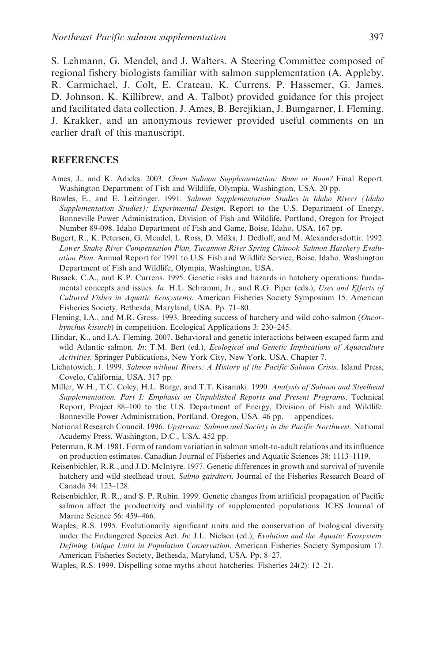S. Lehmann, G. Mendel, and J. Walters. A Steering Committee composed of regional fishery biologists familiar with salmon supplementation (A. Appleby, R. Carmichael, J. Colt, E. Crateau, K. Currens, P. Hassemer, G. James, D. Johnson, K. Killibrew, and A. Talbot) provided guidance for this project and facilitated data collection. J. Ames, B. Berejikian, J. Bumgarner, I. Fleming, J. Krakker, and an anonymous reviewer provided useful comments on an earlier draft of this manuscript.

#### **REFERENCES**

- Ames, J., and K. Adicks. 2003. Chum Salmon Supplementation: Bane or Boon? Final Report. Washington Department of Fish and Wildlife, Olympia, Washington, USA. 20 pp.
- Bowles, E., and E. Leitzinger, 1991. Salmon Supplementation Studies in Idaho Rivers (Idaho Supplementation Studies): Experimental Design. Report to the U.S. Department of Energy, Bonneville Power Administration, Division of Fish and Wildlife, Portland, Oregon for Project Number 89-098. Idaho Department of Fish and Game, Boise, Idaho, USA. 167 pp.
- Bugert, R., K. Petersen, G. Mendel, L. Ross, D. Milks, J. Dedloff, and M. Alexandersdottir. 1992. Lower Snake River Compensation Plan, Tucannon River Spring Chinook Salmon Hatchery Evaluation Plan. Annual Report for 1991 to U.S. Fish and Wildlife Service, Boise, Idaho. Washington Department of Fish and Wildlife, Olympia, Washington, USA.
- Busack, C.A., and K.P. Currens. 1995. Genetic risks and hazards in hatchery operations: fundamental concepts and issues. In: H.L. Schramm, Jr., and R.G. Piper (eds.), Uses and Effects of Cultured Fishes in Aquatic Ecosystems. American Fisheries Society Symposium 15. American Fisheries Society, Bethesda, Maryland, USA. Pp. 71–80.
- Fleming, I.A., and M.R. Gross. 1993. Breeding success of hatchery and wild coho salmon (Oncorhynchus kisutch) in competition. Ecological Applications 3: 230–245.
- Hindar, K., and I.A. Fleming. 2007. Behavioral and genetic interactions between escaped farm and wild Atlantic salmon. In: T.M. Bert (ed.), Ecological and Genetic Implications of Aquaculture Activities. Springer Publications, New York City, New York, USA. Chapter 7.
- Lichatowich, J. 1999. Salmon without Rivers: A History of the Pacific Salmon Crisis. Island Press, Covelo, California, USA. 317 pp.
- Miller, W.H., T.C. Coley, H.L. Burge, and T.T. Kisanuki. 1990. Analysis of Salmon and Steelhead Supplementation. Part I: Emphasis on Unpublished Reports and Present Programs. Technical Report, Project 88–100 to the U.S. Department of Energy, Division of Fish and Wildlife. Bonneville Power Administration, Portland, Oregon, USA.  $46$  pp.  $+$  appendices.
- National Research Council. 1996. Upstream: Salmon and Society in the Pacific Northwest. National Academy Press, Washington, D.C., USA. 452 pp.
- Peterman, R.M. 1981. Form of random variation in salmon smolt-to-adult relations and its influence on production estimates. Canadian Journal of Fisheries and Aquatic Sciences 38: 1113–1119.
- Reisenbichler, R.R., and J.D. McIntyre. 1977. Genetic differences in growth and survival of juvenile hatchery and wild steelhead trout, Salmo gairdneri. Journal of the Fisheries Research Board of Canada 34: 123–128.
- Reisenbichler, R. R., and S. P. Rubin. 1999. Genetic changes from artificial propagation of Pacific salmon affect the productivity and viability of supplemented populations. ICES Journal of Marine Science 56: 459–466.
- Waples, R.S. 1995. Evolutionarily significant units and the conservation of biological diversity under the Endangered Species Act. In: J.L. Nielsen (ed.), Evolution and the Aquatic Ecosystem: Defining Unique Units in Population Conservation. American Fisheries Society Symposium 17. American Fisheries Society, Bethesda, Maryland, USA. Pp. 8–27.
- Waples, R.S. 1999. Dispelling some myths about hatcheries. Fisheries 24(2): 12–21.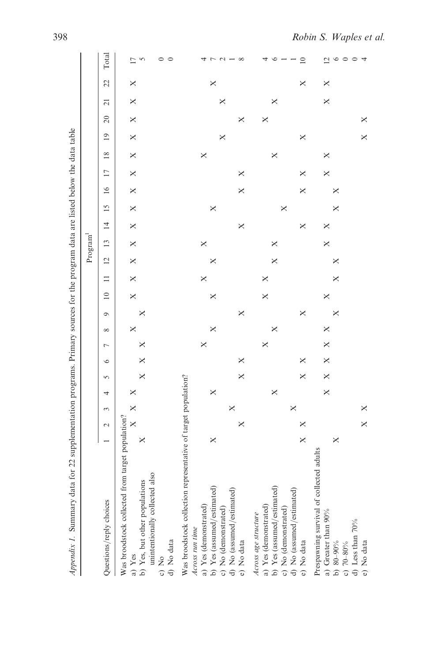| data for 22 supplementation programs. Primary sources for the program data are listed below the data table<br>Appendix 1. Summary                    |          |              |          |          |   |   |                |          |   |             |          |                |                      |                |                 |                 |                 |                |                 |           |          |                        |  |
|------------------------------------------------------------------------------------------------------------------------------------------------------|----------|--------------|----------|----------|---|---|----------------|----------|---|-------------|----------|----------------|----------------------|----------------|-----------------|-----------------|-----------------|----------------|-----------------|-----------|----------|------------------------|--|
|                                                                                                                                                      |          |              |          |          |   |   |                |          |   |             |          |                | Program <sup>1</sup> |                |                 |                 |                 |                |                 |           |          |                        |  |
| Questions/reply choices                                                                                                                              |          | $\mathbf{C}$ | 3        | 4        | 5 | ७ | $\overline{ }$ | $\infty$ | ٥ | $\supseteq$ | $\equiv$ | $\overline{2}$ | $\frac{3}{2}$        | $\overline{4}$ | $\overline{15}$ | $\overline{16}$ | $\overline{17}$ | $\frac{8}{18}$ | $\overline{19}$ | $\approx$ | ត        | Total<br>22            |  |
| Was broodstock collected from target population?<br>a) Yes<br>b) Yes, but other populations<br>unintentionally collected also<br>d) No data<br>c) No | ×        | $\times$     | $\times$ | ×        | × | × | ×              | $\times$ | × | ×           | ×        | ×              | ×                    | ×              | ×               | $\times$        | ×               | $\times$       | $\times$        | ×         | ×        | 冖<br>×                 |  |
| Was broodstock collection representative of target population?                                                                                       |          |              |          |          |   |   |                |          |   |             |          |                |                      |                |                 |                 |                 |                |                 |           |          |                        |  |
| Across run time<br>a) Yes (demonstrated)<br>b) Yes (assumed/estimated)<br>c) No (demonstrated)<br>d) No (assumed/estimated)<br>e) No data            | ×        |              |          | ×        |   |   | ×              | ×        |   | ×           | ×        |                | ×                    |                | ×               |                 |                 | ×              |                 |           |          | ×                      |  |
|                                                                                                                                                      |          | ×            | ×        |          | × | × |                |          | × |             |          |                |                      | ×              |                 | ×               | ×               |                | ×               | ×         | ×        |                        |  |
| Across age structure<br>a) Yes (demonstrated)<br>b) Yes (assumed/estimated)<br>c) No (demonstrated)                                                  |          |              |          | ×        |   |   | ×              | ×        |   | ×           | ×        | ×              | ×                    |                |                 |                 |                 | ×              |                 | ×         | ×        |                        |  |
| d) No (assumed/estimated)<br>e) No data                                                                                                              | $\times$ | ×            | ×        |          | × | × |                |          | × |             |          |                |                      | ×              | ×               | ×               | ×               |                | ×               |           |          | $\supseteq$<br>×       |  |
| collected adults<br>Prespawning survival of<br>a) Greater than 90%<br>b) 80–90%<br>c) 70–80%                                                         | ×        |              |          | $\times$ | × | × | $\times$       | ×        | × | ×           | ×        | ×              | ×                    | ×              | ×               | ×               | ×               | ×              |                 |           | $\times$ | $\mathbf{C}$<br>७<br>× |  |
| d) Less than $70\%$<br>e) No data                                                                                                                    |          | ×            | ×        |          |   |   |                |          |   |             |          |                |                      |                |                 |                 |                 |                | ×               | ×         |          | $\circ$<br>$\circ$     |  |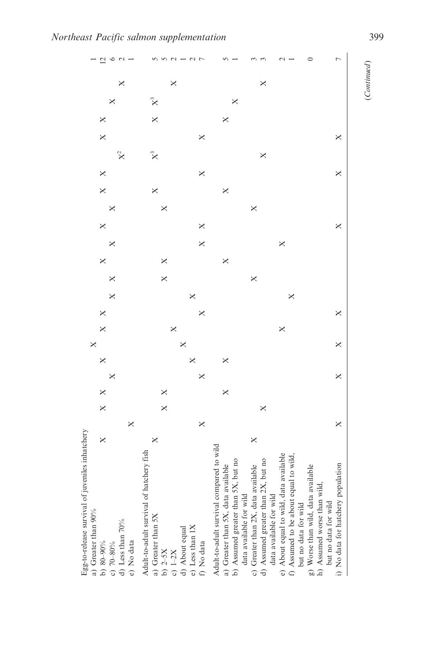| ×<br>×<br>×<br>×<br>$\times$<br>×<br>×<br>$\times$<br>×<br>×<br>×<br>×<br>$\times$<br>$\times$<br>$\times$<br>×<br>Adult-to-adult survival compared to wild<br>Adult-to-adult survival of hatchery fish<br>a) Greater than 5X, data available<br>b) Assumed greater than 5X, but no<br>data available for wild<br>c) Greater than 2X, data available<br>d) Assumed greater than 2X, but no<br>data available for wild<br>e) About equal to wild, data avai<br>a) Greater than 5X<br>b) $2-5X$<br>c) $1-2X$<br>d) About equal<br>e) Less than IX<br>f) No data |  |  | × | $\times$ |   | $\times$ | × | $\times$ | $\times$ | $\aleph^2$ | $\times$ | $\times$ | ×         | × |  |
|---------------------------------------------------------------------------------------------------------------------------------------------------------------------------------------------------------------------------------------------------------------------------------------------------------------------------------------------------------------------------------------------------------------------------------------------------------------------------------------------------------------------------------------------------------------|--|--|---|----------|---|----------|---|----------|----------|------------|----------|----------|-----------|---|--|
|                                                                                                                                                                                                                                                                                                                                                                                                                                                                                                                                                               |  |  |   | ×        | × | ×        | × | ×        | $\times$ | $\approx$  | ×        | ×        | $\approx$ | × |  |
|                                                                                                                                                                                                                                                                                                                                                                                                                                                                                                                                                               |  |  |   | ×        |   |          |   | ×        |          |            |          | $\times$ | ×         |   |  |
|                                                                                                                                                                                                                                                                                                                                                                                                                                                                                                                                                               |  |  |   |          |   |          | × |          |          | ×          |          |          |           | × |  |
|                                                                                                                                                                                                                                                                                                                                                                                                                                                                                                                                                               |  |  | × |          | × |          |   |          |          |            |          |          |           |   |  |
| ×<br>×<br>×<br>$\times$<br>i) No data for hatchery population<br>but no data for wild                                                                                                                                                                                                                                                                                                                                                                                                                                                                         |  |  |   |          |   | ×        |   |          | ×        |            | ×        |          |           |   |  |

*(*Continued)

 $(Continued) % \begin{minipage}[b]{0.5\linewidth} \centering \centerline{\includegraphics[width=0.5\linewidth]{images/STM100020.jpg} \centerline{\includegraphics[width=0.5\linewidth]{images/STM100020.jpg} \centerline{\includegraphics[width=0.5\linewidth]{images/STM100020.jpg} \centerline{\includegraphics[width=0.5\linewidth]{images/STM100020.jpg} \centerline{\includegraphics[width=0.5\linewidth]{images/STM100020.jpg} \centerline{\includegraphics[width=0.5\linewidth]{images/STM100020.jpg} \centerline{\includegraphics[width=0.5\linewidth]{images/STM100020.jpg} \centerline{\includegraphics[width$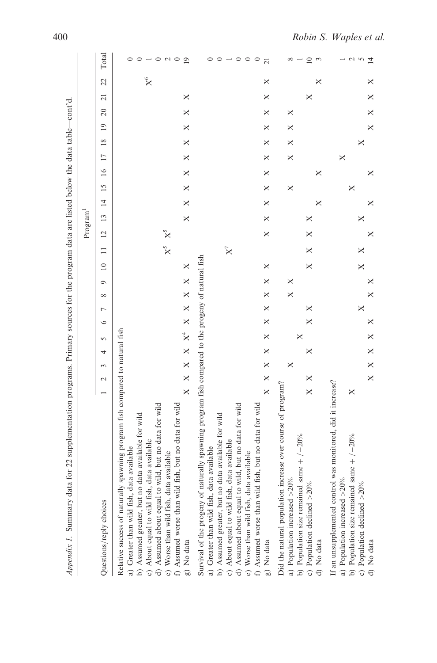| data for 22 supplementation programs. Primary sources for the program data are listed below the data table—cont'd.<br>Appendix 1. Summary                                                                                                                                                                                                                                                                                            |                      |          |          |            |          |                |          |          |             |                |                      |                |                |                 |                         |                 |                 |                 |                |            |                                                   |
|--------------------------------------------------------------------------------------------------------------------------------------------------------------------------------------------------------------------------------------------------------------------------------------------------------------------------------------------------------------------------------------------------------------------------------------|----------------------|----------|----------|------------|----------|----------------|----------|----------|-------------|----------------|----------------------|----------------|----------------|-----------------|-------------------------|-----------------|-----------------|-----------------|----------------|------------|---------------------------------------------------|
|                                                                                                                                                                                                                                                                                                                                                                                                                                      |                      |          |          |            |          |                |          |          |             |                | Program <sup>1</sup> |                |                |                 |                         |                 |                 |                 |                |            |                                                   |
| Questions/reply choices                                                                                                                                                                                                                                                                                                                                                                                                              | $\sim$               | 3        | 4        | 5          | ७        | $\overline{ }$ | $\infty$ | Ò        | $\supseteq$ | $\equiv$       | $\overline{c}$       | $\frac{13}{2}$ | $\overline{4}$ | $\overline{15}$ | $\Box$<br>$\frac{6}{1}$ | $\overline{18}$ | $\overline{19}$ | $\overline{20}$ | $\overline{z}$ | 22         | Total                                             |
| Relative success of naturally spawning program fish compared to natural fish<br>b) Assumed greater, but no data available for wild<br>c) About equal to wild fish, data available<br>d) Assumed about equal to wild, but no data for wild<br>e) Worse than wild fish, data available<br>wild fish, but no data for wild<br>a) Greater than wild fish, data available<br>f) Assumed worse than<br>No data<br>$\mathbb{S}$             | $\times$<br>$\times$ | $\times$ | $\times$ | $\times^4$ | $\times$ | $\times$       | $\times$ | $\times$ | ×           | $\mathbf{X}^5$ |                      | ×              | $\times$       | $\times$        | $\times$<br>$\times$    | $\times$        | $\times$        | $\times$        | ×              | $\times^6$ | $\sim$<br>$\overline{1}$                          |
| of naturally spawning program fish compared to the progeny of natural fish<br>b) Assumed greater, but no data available for wild<br>c) About equal to wild fish, data available<br>d) Assumed about equal to wild, but no data for wild<br>wild fish, but no data for wild<br>a) Greater than wild fish, data available<br>e) Worse than wild fish, data available<br>Survival of the progeny<br>f) Assumed worse than $g$ ) No data | $X \times X$         | $\times$ | $\times$ | ×          | $\times$ | ×              | $\times$ | ×        | ×           | $X^7$          | ×                    | ×              | $\times$       | $\times$        | $\times$<br>$\times$    | $\times$        | ×               | ×               | ×              | ×          | $ \circ$<br>$\circ$<br>$\circ$<br>$\overline{21}$ |
| Did the natural population increase over course of program?<br>b) Population size remained same $+$ /-20%<br>$1 > 20\%$<br>>20%<br>a) Population increased<br>c) Population declined<br>d) No data                                                                                                                                                                                                                                   | ×<br>$\times$        | ×        | ×        | ×          |          | ×              | $\times$ | ×        | $\times$    | ×              | ×                    | ×              | ×              | ×<br>×          | ×                       | $\times$        | $\times$        | ×               | ×              | ×          | $\supseteq$<br>3                                  |
| If an unsupplemented control was monitored, did it increase?<br>b) Population size remained same $+$ $/$ -20%<br>a) Population increased ${>}20\%$<br>$> 20\%$<br>c) Population declined<br>No data                                                                                                                                                                                                                                  | $\times$<br>×        | $\times$ | $\times$ | ×          | ×        | ×              |          |          | ×           | ×              |                      |                |                | ×<br>×          | ×                       | ×               | ×               | $\times$        | $\times$       | ×          | $\sim$<br>$\overline{4}$<br>$\sim$                |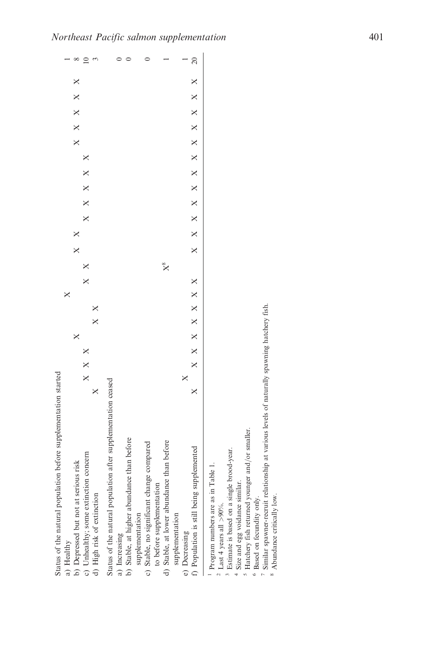| Status of the natural population before supplementation started                                |          |               |          |          |   |            |           |          |          |  |         |   |  |  |                                                                        |             |  |
|------------------------------------------------------------------------------------------------|----------|---------------|----------|----------|---|------------|-----------|----------|----------|--|---------|---|--|--|------------------------------------------------------------------------|-------------|--|
| a) Healthy                                                                                     |          |               |          |          | × |            |           |          |          |  |         |   |  |  |                                                                        |             |  |
| serious risk<br>b) Depressed but not at                                                        |          |               | $\times$ |          |   |            |           | $\times$ | $\times$ |  |         |   |  |  | $X$ X X X X                                                            | $\infty$    |  |
| c) Unhealthy; some extinction concern                                                          | X X X    |               |          |          |   | $\times$ X |           |          |          |  | X X X X | × |  |  |                                                                        | $\subseteq$ |  |
| d) High risk of extinction                                                                     | $\times$ |               |          | $\times$ |   |            |           |          |          |  |         |   |  |  |                                                                        |             |  |
| Status of the natural population after supplementation ceased                                  |          |               |          |          |   |            |           |          |          |  |         |   |  |  |                                                                        |             |  |
| a) Increasing                                                                                  |          |               |          |          |   |            |           |          |          |  |         |   |  |  |                                                                        |             |  |
| b) Stable, at higher abundance than before                                                     |          |               |          |          |   |            |           |          |          |  |         |   |  |  |                                                                        |             |  |
| supplementation                                                                                |          |               |          |          |   |            |           |          |          |  |         |   |  |  |                                                                        |             |  |
| c) Stable, no significant change compared                                                      |          |               |          |          |   |            |           |          |          |  |         |   |  |  |                                                                        |             |  |
| to before supplementation                                                                      |          |               |          |          |   |            |           |          |          |  |         |   |  |  |                                                                        |             |  |
| d) Stable, at lower abundance than before                                                      |          |               |          |          |   |            | $\propto$ |          |          |  |         |   |  |  |                                                                        |             |  |
| supplementation                                                                                |          |               |          |          |   |            |           |          |          |  |         |   |  |  |                                                                        |             |  |
| e) Decreasing                                                                                  | ×        |               |          |          |   |            |           |          |          |  |         |   |  |  |                                                                        |             |  |
| f) Population is still being supplemented                                                      | ×        | X X X X X X X |          |          |   |            |           |          |          |  |         |   |  |  | $\begin{array}{ccccc}\nX & X & X & X & X & X & X & X & X\n\end{array}$ | $\approx$   |  |
| in Table 1.<br>Program numbers are as                                                          |          |               |          |          |   |            |           |          |          |  |         |   |  |  |                                                                        |             |  |
| $^2$ Last 4 years all ${>}90\%$ .                                                              |          |               |          |          |   |            |           |          |          |  |         |   |  |  |                                                                        |             |  |
| Estimate is based on a single brood-year.                                                      |          |               |          |          |   |            |           |          |          |  |         |   |  |  |                                                                        |             |  |
| Size and egg voidance similar.                                                                 |          |               |          |          |   |            |           |          |          |  |         |   |  |  |                                                                        |             |  |
| $^5$ Hatchery fish returned younger and/or smaller.                                            |          |               |          |          |   |            |           |          |          |  |         |   |  |  |                                                                        |             |  |
| <sup>6</sup> Based on fecundity only.                                                          |          |               |          |          |   |            |           |          |          |  |         |   |  |  |                                                                        |             |  |
| relationship at various levels of naturally spawning hatchery fish.<br>Similar spawner-recruit |          |               |          |          |   |            |           |          |          |  |         |   |  |  |                                                                        |             |  |

Abundance critically low.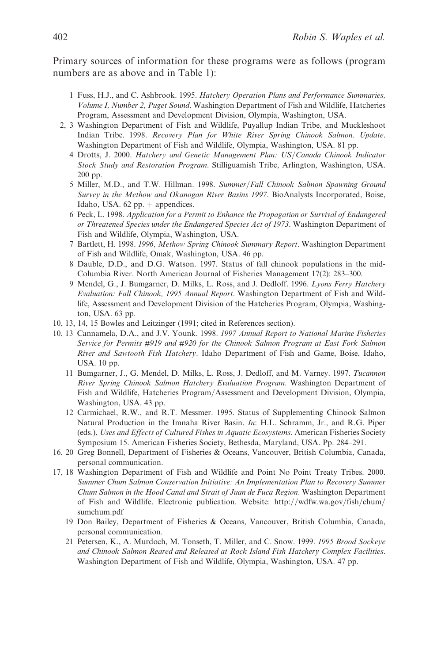Primary sources of information for these programs were as follows (program numbers are as above and in Table 1):

- 1 Fuss, H.J., and C. Ashbrook. 1995. Hatchery Operation Plans and Performance Summaries, Volume I, Number 2, Puget Sound. Washington Department of Fish and Wildlife, Hatcheries Program, Assessment and Development Division, Olympia, Washington, USA.
- 2, 3 Washington Department of Fish and Wildlife, Puyallup Indian Tribe, and Muckleshoot Indian Tribe. 1998. Recovery Plan for White River Spring Chinook Salmon. Update. Washington Department of Fish and Wildlife, Olympia, Washington, USA. 81 pp.
	- 4 Drotts, J. 2000. Hatchery and Genetic Management Plan: US/Canada Chinook Indicator Stock Study and Restoration Program. Stilliguamish Tribe, Arlington, Washington, USA. 200 pp.
	- 5 Miller, M.D., and T.W. Hillman. 1998. Summer/Fall Chinook Salmon Spawning Ground Survey in the Methow and Okanogan River Basins 1997. BioAnalysts Incorporated, Boise, Idaho, USA.  $62$  pp.  $+$  appendices.
	- 6 Peck, L. 1998. Application for a Permit to Enhance the Propagation or Survival of Endangered or Threatened Species under the Endangered Species Act of 1973. Washington Department of Fish and Wildlife, Olympia, Washington, USA.
	- 7 Bartlett, H. 1998. 1996, Methow Spring Chinook Summary Report. Washington Department of Fish and Wildlife, Omak, Washington, USA. 46 pp.
	- 8 Dauble, D.D., and D.G. Watson. 1997. Status of fall chinook populations in the mid-Columbia River. North American Journal of Fisheries Management 17(2): 283–300.
	- 9 Mendel, G., J. Bumgarner, D. Milks, L. Ross, and J. Dedloff. 1996. Lyons Ferry Hatchery Evaluation: Fall Chinook, 1995 Annual Report. Washington Department of Fish and Wildlife, Assessment and Development Division of the Hatcheries Program, Olympia, Washington, USA. 63 pp.
- 10, 13, 14, 15 Bowles and Leitzinger (1991; cited in References section).
- 10, 13 Cannamela, D.A., and J.V. Younk. 1998. 1997 Annual Report to National Marine Fisheries Service for Permits #919 and #920 for the Chinook Salmon Program at East Fork Salmon River and Sawtooth Fish Hatchery. Idaho Department of Fish and Game, Boise, Idaho, USA. 10 pp.
	- 11 Bumgarner, J., G. Mendel, D. Milks, L. Ross, J. Dedloff, and M. Varney. 1997. Tucannon River Spring Chinook Salmon Hatchery Evaluation Program. Washington Department of Fish and Wildlife, Hatcheries Program/Assessment and Development Division, Olympia, Washington, USA. 43 pp.
	- 12 Carmichael, R.W., and R.T. Messmer. 1995. Status of Supplementing Chinook Salmon Natural Production in the Imnaha River Basin. In: H.L. Schramm, Jr., and R.G. Piper (eds.), Uses and Effects of Cultured Fishes in Aquatic Ecosystems. American Fisheries Society Symposium 15. American Fisheries Society, Bethesda, Maryland, USA. Pp. 284–291.
- 16, 20 Greg Bonnell, Department of Fisheries & Oceans, Vancouver, British Columbia, Canada, personal communication.
- 17, 18 Washington Department of Fish and Wildlife and Point No Point Treaty Tribes. 2000. Summer Chum Salmon Conservation Initiative: An Implementation Plan to Recovery Summer Chum Salmon in the Hood Canal and Strait of Juan de Fuca Region. Washington Department of Fish and Wildlife. Electronic publication. Website: http://wdfw.wa.gov/fish/chum/ sumchum.pdf
	- 19 Don Bailey, Department of Fisheries & Oceans, Vancouver, British Columbia, Canada, personal communication.
	- 21 Petersen, K., A. Murdoch, M. Tonseth, T. Miller, and C. Snow. 1999. 1995 Brood Sockeye and Chinook Salmon Reared and Released at Rock Island Fish Hatchery Complex Facilities. Washington Department of Fish and Wildlife, Olympia, Washington, USA. 47 pp.